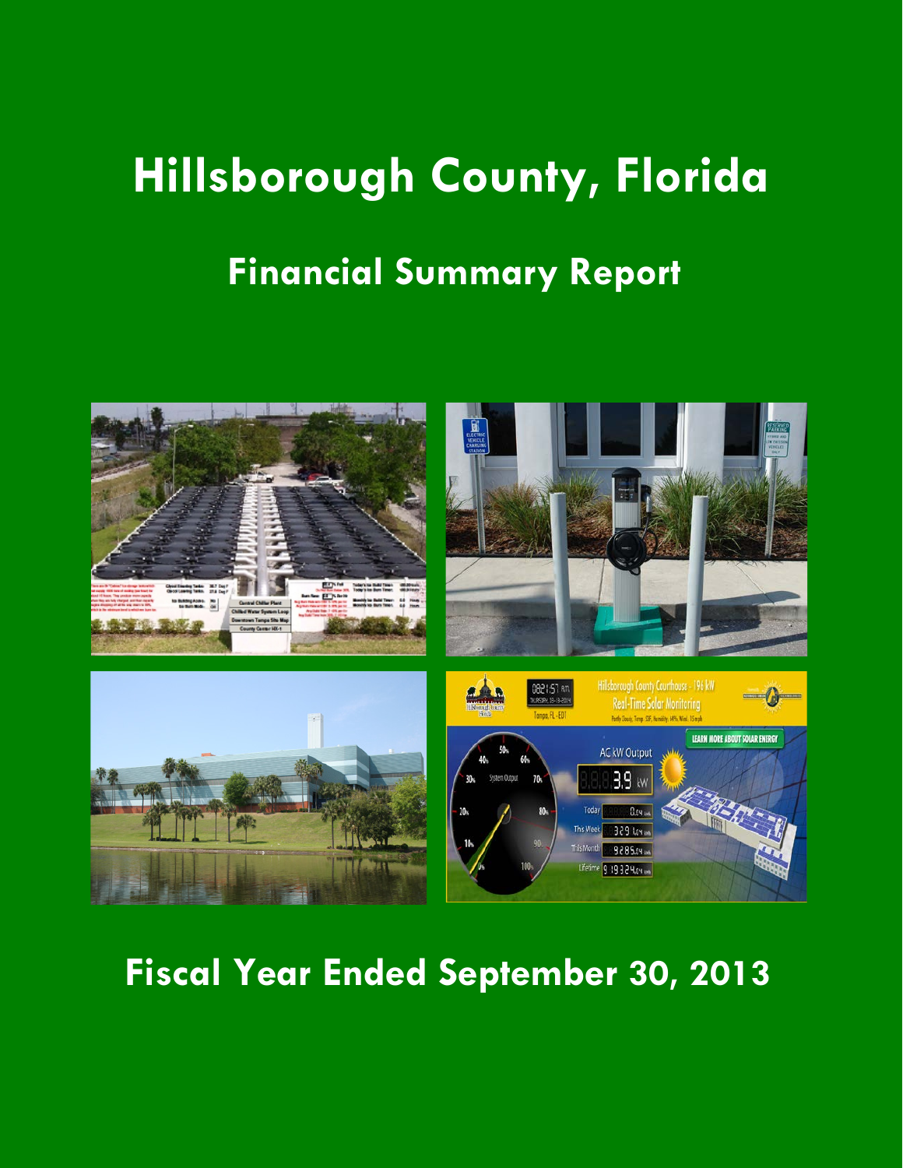## **Hillsborough County, Florida Financial Summary Report**



**Fiscal Year Ended September 30, 2013**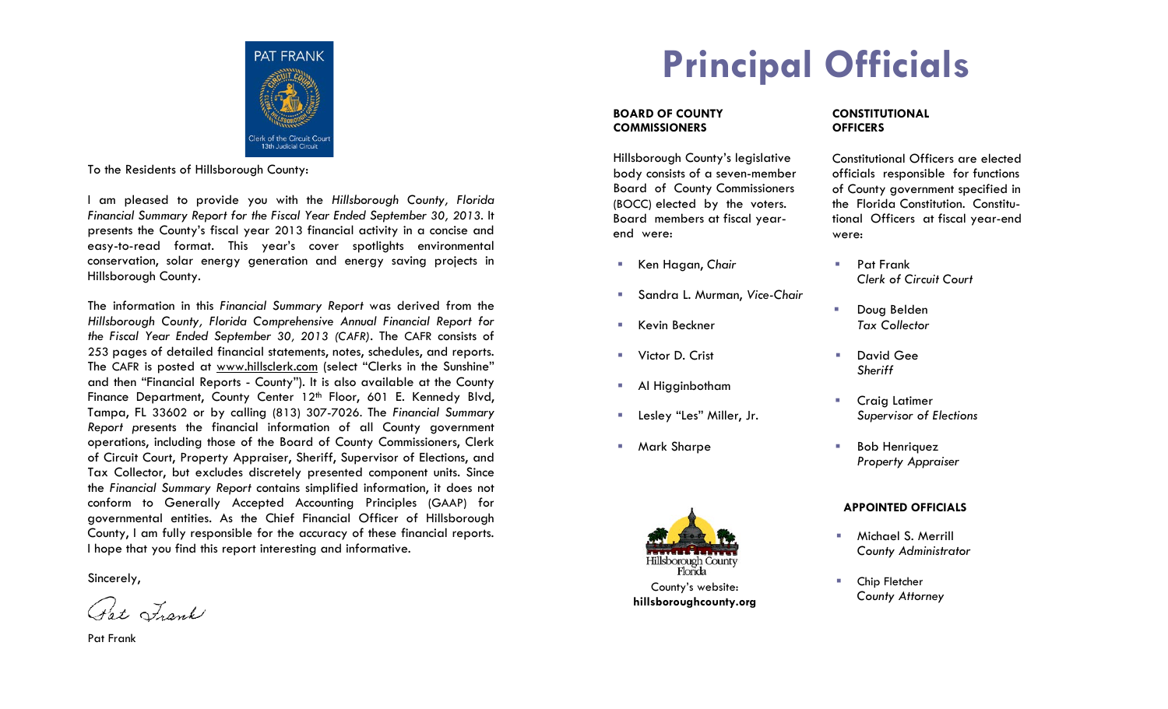

Clerk of the Circuit Condition Clerk of the Circuit Condition Clerk of the Circuit County:<br>To the Residents of Hillsborough County:

I am pleased to provide you with the *Hillsborough County, Florida Financial Summary Report for the Fiscal Year Ended September 30, 2013*. It presents the County's fiscal year 2013 financial activity in a concise and easy-to-read format. This year's cover spotlights environmental conservation, solar energy generation and energy saving projects in Hillsborough County.

The information in this *Financial Summary Report* was derived from the *Hillsborough County, Florida Comprehensive Annual Financial Report for the Fiscal Year Ended September 30, 2013 (CAFR)*. The CAFR consists of 253 pages of detailed financial statements, notes, schedules, and reports. The CAFR is posted at www.hillsclerk.com (select "Clerks in the Sunshine" and then "Financial Reports - County"). It is also available at the County Finance Department, County Center 12<sup>th</sup> Floor, 601 E. Kennedy Blvd, Tampa, FL 33602 or by calling (813) 307-7026. The *Financial Summary Report p*resents the financial information of all County government operations, including those of the Board of County Commissioners, Clerk of Circuit Court, Property Appraiser, Sheriff, Supervisor of Elections, and Tax Collector, but excludes discretely presented component units. Since the *Financial Summary Report* contains simplified information, it does not conform to Generally Accepted Accounting Principles (GAAP) for governmental entities. As the Chief Financial Officer of Hillsborough County, I am fully responsible for the accuracy of these financial reports. I hope that you find this report interesting and informative.

Sincerely,

Pat Lank

Pat Frank

## **Principal Officials**

#### **BOARD OF COUNTY COMMISSIONERS**

Hillsborough County's legislative body consists of a seven-member Board of County Commissioners (BOCC) elected by the voters. Board members at fiscal yearend were:

- Ken Hagan, Chair **Rank** Pat Frank
- Sandra L. Murman, *Vice-Chair*
- Kevin Beckner *Tax Collector*
- **Number 19 Victor D. Crist** Crist Contract Contract Contract Contract Contract Contract Contract Contract Contract Contract Contract Contract Contract Contract Contract Contract Contract Contract Contract Contract Contract
- **Al Higginbotham**
- Lesley "Les" Miller, Jr. *Supervisor of Elections*
- 



#### **CONSTITUTIONAL OFFICERS**

Constitutional Officers are elected officials responsible for functions of County government specified in the Florida Constitution. Constitutional Officers at fiscal year-end were:

- *Clerk of Circuit Court*
- **Doug Belden**
- *Sheriff*
	- **Craig Latimer**
- **Mark Sharpe**  Bob Henriquez *Property Appraiser*

#### **APPOINTED OFFICIALS**

- **Michael S. Merrill** *County Administrator*
- **E** Chip Fletcher *County Attorney*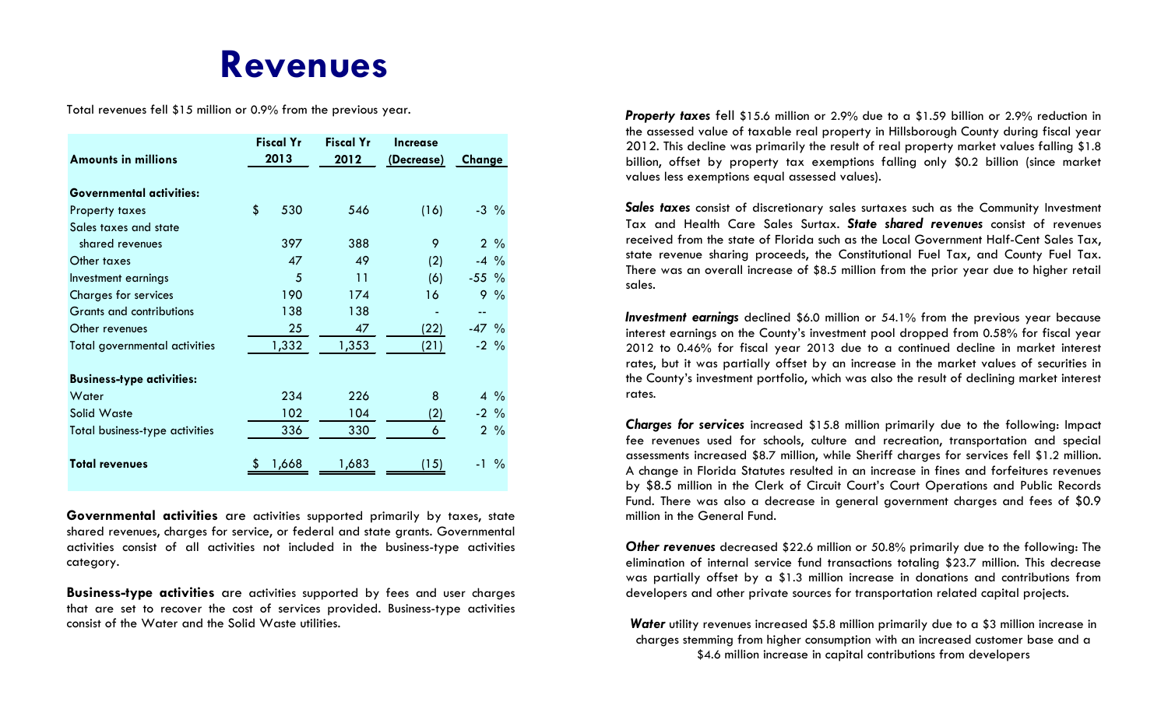### **Revenues**

Total revenues fell \$15 million or 0.9% from the previous year.

|                                      | <b>Fiscal Yr</b> |       | <b>Fiscal Yr</b> | Increase   |                 |      |
|--------------------------------------|------------------|-------|------------------|------------|-----------------|------|
| <b>Amounts in millions</b>           | 2013             |       | 2012             | (Decrease) | Change          |      |
| <b>Governmental activities:</b>      |                  |       |                  |            |                 |      |
| Property taxes                       | \$               | 530   | 546              | (16)       | $-3\frac{9}{6}$ |      |
| Sales taxes and state                |                  |       |                  |            |                 |      |
| shared revenues                      |                  | 397   | 388              | 9          | $2\frac{9}{6}$  |      |
| Other taxes                          |                  | 47    | 49               | (2)        | $-4\frac{9}{6}$ |      |
| Investment earnings                  |                  | 5     | 11               | (6)        | $-55$ %         |      |
| <b>Charges for services</b>          |                  | 190   | 174              | 16         | $9\%$           |      |
| Grants and contributions             |                  | 138   | 138              |            |                 |      |
| Other revenues                       |                  | 25    | 47               | (22)       | $-47$ %         |      |
| <b>Total governmental activities</b> |                  | 1,332 | 1,353            | (21)       | $-2\frac{9}{6}$ |      |
| <b>Business-type activities:</b>     |                  |       |                  |            |                 |      |
| Water                                |                  | 234   | 226              | 8          | $4\frac{9}{6}$  |      |
| Solid Waste                          |                  | 102   | 104              | (2)        | $-2\frac{9}{6}$ |      |
| Total business-type activities       |                  | 336   | 330              | 6          | $2\frac{9}{6}$  |      |
| <b>Total revenues</b>                |                  | 1,668 | 1,683            | 15)        | $-1$            | $\%$ |

**Governmental activities** are activities supported primarily by taxes, state shared revenues, charges for service, or federal and state grants. Governmental activities consist of all activities not included in the business-type activities category.

**Business-type activities** are activities supported by fees and user charges that are set to recover the cost of services provided. Business-type activities consist of the Water and the Solid Waste utilities.

*Property taxes* fell \$15.6 million or 2.9% due to a \$1.59 billion or 2.9% reduction in the assessed value of taxable real property in Hillsborough County during fiscal year 2012. This decline was primarily the result of real property market values falling \$1.8 billion, offset by property tax exemptions falling only \$0.2 billion (since market values less exemptions equal assessed values).

*Sales taxes* consist of discretionary sales surtaxes such as the Community Investment Tax and Health Care Sales Surtax. *State shared revenues* consist of revenues received from the state of Florida such as the Local Government Half-Cent Sales Tax, state revenue sharing proceeds, the Constitutional Fuel Tax, and County Fuel Tax. There was an overall increase of \$8.5 million from the prior year due to higher retail sales.

*Investment earnings* declined \$6.0 million or 54.1% from the previous year because interest earnings on the County's investment pool dropped from 0.58% for fiscal year 2012 to 0.46% for fiscal year 2013 due to a continued decline in market interest rates, but it was partially offset by an increase in the market values of securities in the County's investment portfolio, which was also the result of declining market interest rates.

*Charges for services* increased \$15.8 million primarily due to the following: Impact fee revenues used for schools, culture and recreation, transportation and special assessments increased \$8.7 million, while Sheriff charges for services fell \$1.2 million. A change in Florida Statutes resulted in an increase in fines and forfeitures revenues by \$8.5 million in the Clerk of Circuit Court's Court Operations and Public Records Fund. There was also a decrease in general government charges and fees of \$0.9 million in the General Fund.

*Other revenues* decreased \$22.6 million or 50.8% primarily due to the following: The elimination of internal service fund transactions totaling \$23.7 million. This decrease was partially offset by a \$1.3 million increase in donations and contributions from developers and other private sources for transportation related capital projects.

*Water* utility revenues increased \$5.8 million primarily due to a \$3 million increase in charges stemming from higher consumption with an increased customer base and a \$4.6 million increase in capital contributions from developers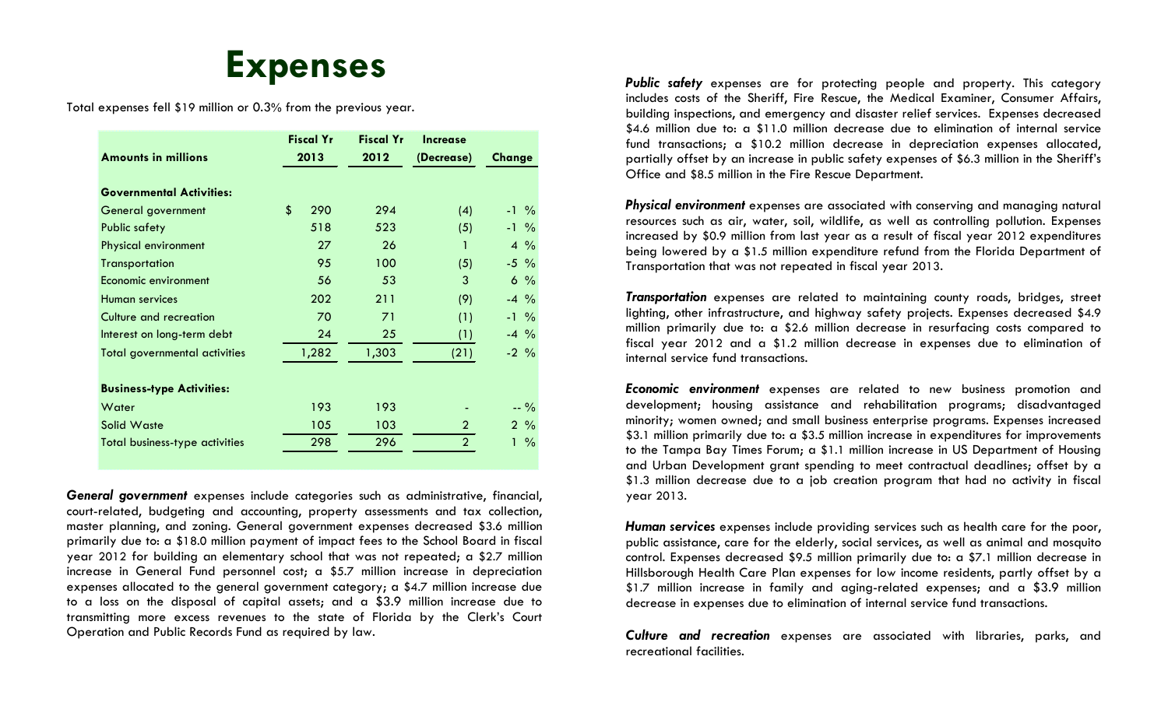#### **Expenses**

Total expenses fell \$19 million or 0.3% from the previous year.

| <b>Amounts in millions</b>            | <b>Fiscal Yr</b><br>2013 | <b>Fiscal Yr</b><br>2012 | <b>Increase</b><br>(Decrease) | Change             |  |
|---------------------------------------|--------------------------|--------------------------|-------------------------------|--------------------|--|
| <b>Governmental Activities:</b>       |                          |                          |                               |                    |  |
| General government                    | \$<br>290                | 294                      | (4)                           | $-1\frac{9}{6}$    |  |
| <b>Public safety</b>                  | 518                      | 523                      | (5)                           | $-1\frac{9}{6}$    |  |
| Physical environment                  | 27                       | 26                       | 1                             | $4\frac{9}{6}$     |  |
| <b>Transportation</b>                 | 95                       | 100                      | (5)                           | $-5\%$             |  |
| Economic environment                  | 56                       | 53                       | 3                             | $6\%$              |  |
| Human services                        | 202                      | 211                      | (9)                           | $-4\frac{9}{6}$    |  |
| Culture and recreation                | 70                       | 71                       | (1)                           | $-1\frac{9}{6}$    |  |
| Interest on long-term debt            | 24                       | 25                       | (1)                           | $-4\frac{9}{6}$    |  |
| Total governmental activities         | 1,282                    | 1,303                    | (21)                          | $-2\frac{9}{6}$    |  |
| <b>Business-type Activities:</b>      |                          |                          |                               |                    |  |
| Water                                 | 193                      | 193                      |                               | $-9/0$             |  |
| Solid Waste                           | 105                      | 103                      | $\overline{2}$                | $2\frac{9}{6}$     |  |
| <b>Total business-type activities</b> | 298                      | 296                      | $\overline{2}$                | $\frac{0}{0}$<br>1 |  |

*General government* expenses include categories such as administrative, financial, court-related, budgeting and accounting, property assessments and tax collection, master planning, and zoning. General government expenses decreased \$3.6 million primarily due to: a \$18.0 million payment of impact fees to the School Board in fiscal year 2012 for building an elementary school that was not repeated; a \$2.7 million increase in General Fund personnel cost; a \$5.7 million increase in depreciation expenses allocated to the general government category; a \$4.7 million increase due to a loss on the disposal of capital assets; and a \$3.9 million increase due to transmitting more excess revenues to the state of Florida by the Clerk's Court Operation and Public Records Fund as required by law.

*Public safety* expenses are for protecting people and property. This category includes costs of the Sheriff, Fire Rescue, the Medical Examiner, Consumer Affairs, building inspections, and emergency and disaster relief services. Expenses decreased \$4.6 million due to: a \$11.0 million decrease due to elimination of internal service fund transactions; a \$10.2 million decrease in depreciation expenses allocated, partially offset by an increase in public safety expenses of \$6.3 million in the Sheriff's Office and \$8.5 million in the Fire Rescue Department.

*Physical environment* expenses are associated with conserving and managing natural resources such as air, water, soil, wildlife, as well as controlling pollution. Expenses increased by \$0.9 million from last year as a result of fiscal year 2012 expenditures being lowered by a \$1.5 million expenditure refund from the Florida Department of Transportation that was not repeated in fiscal year 2013.

*Transportation* expenses are related to maintaining county roads, bridges, street lighting, other infrastructure, and highway safety projects. Expenses decreased \$4.9 million primarily due to: a \$2.6 million decrease in resurfacing costs compared to fiscal year 2012 and a \$1.2 million decrease in expenses due to elimination of internal service fund transactions.

*Economic environment* expenses are related to new business promotion and development; housing assistance and rehabilitation programs; disadvantaged minority; women owned; and small business enterprise programs. Expenses increased \$3.1 million primarily due to: a \$3.5 million increase in expenditures for improvements to the Tampa Bay Times Forum; a \$1.1 million increase in US Department of Housing and Urban Development grant spending to meet contractual deadlines; offset by a \$1.3 million decrease due to a job creation program that had no activity in fiscal year 2013.

*Human services* expenses include providing services such as health care for the poor, public assistance, care for the elderly, social services, as well as animal and mosquito control. Expenses decreased \$9.5 million primarily due to: a \$7.1 million decrease in Hillsborough Health Care Plan expenses for low income residents, partly offset by a \$1.7 million increase in family and aging-related expenses; and a \$3.9 million decrease in expenses due to elimination of internal service fund transactions.

*Culture and recreation* expenses are associated with libraries, parks, and recreational facilities.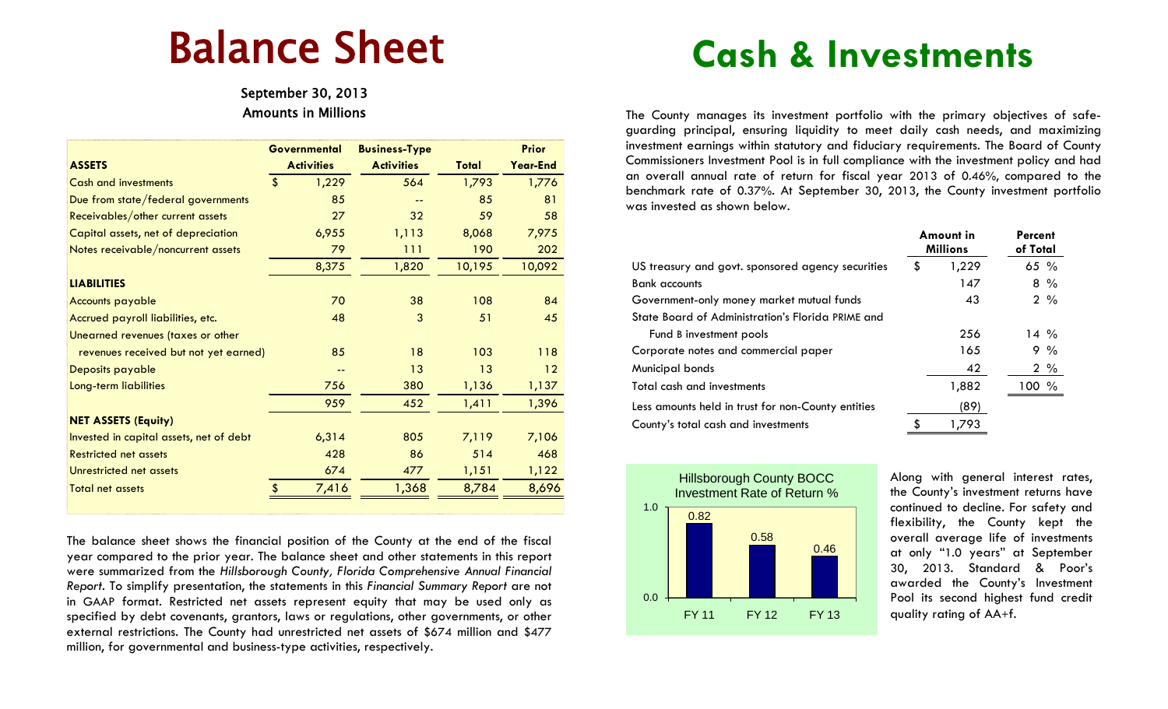# Balance Sheet

Amounts in Millions

|                                         | <b>Governmental</b> |       | <b>Business-Type</b> |        | <b>Prior</b> |
|-----------------------------------------|---------------------|-------|----------------------|--------|--------------|
| <b>ASSETS</b>                           | <b>Activities</b>   |       | <b>Activities</b>    | Total  | Year-End     |
| <b>Cash and investments</b>             | $\mathbf{\hat{S}}$  | 1,229 | 564                  | 1,793  | 1,776        |
| Due from state/federal governments      |                     | 85    |                      | 85     | 81           |
| Receivables/other current assets        |                     | 27    | 32                   | 59     | 58           |
| Capital assets, net of depreciation     |                     | 6,955 | 1,113                | 8,068  | 7,975        |
| Notes receivable/noncurrent assets      |                     | 79    | 111                  | 190    | 202          |
|                                         |                     | 8,375 | 1,820                | 10,195 | 10,092       |
| <b>LIABILITIES</b>                      |                     |       |                      |        |              |
| <b>Accounts payable</b>                 |                     | 70    | 38                   | 108    | 84           |
| Accrued payroll liabilities, etc.       |                     | 48    | 3                    | 51     | 45           |
| Unearned revenues (taxes or other       |                     |       |                      |        |              |
| revenues received but not yet earned)   |                     | 85    | 18                   | 103    | 118          |
| Deposits payable                        |                     | --    | 13                   | 13     | 12           |
| Long-term liabilities                   |                     | 756   | 380                  | 1,136  | 1,137        |
|                                         |                     | 959   | 452                  | 1,411  | 1,396        |
| <b>NET ASSETS (Equity)</b>              |                     |       |                      |        |              |
| Invested in capital assets, net of debt |                     | 6,314 | 805                  | 7,119  | 7,106        |
| <b>Restricted net assets</b>            |                     | 428   | 86                   | 514    | 468          |
| Unrestricted net assets                 |                     | 674   | 477                  | 1,151  | 1,122        |
| <b>Total net assets</b>                 | \$                  | 7,416 | 1,368                | 8,784  | 8,696        |

The balance sheet shows the financial position of the County at the end of the fiscal year compared to the prior year. The balance sheet and other statements in this report were summarized from the *Hillsborough County, Florida Comprehensive Annual Financial Report*. To simplify presentation, the statements in this *Financial Summary Report* are not in GAAP format. Restricted net assets represent equity that may be used only as specified by debt covenants, grantors, laws or regulations, other governments, or other external restrictions. The County had unrestricted net assets of \$674 million and \$477 million, for governmental and business-type activities, respectively.

## **Cash & Investments**

The County manages its investment portfolio with the primary objectives of safeguarding principal, ensuring liquidity to meet daily cash needs, and maximizing investment earnings within statutory and fiduciary requirements. The Board of County Commissioners Investment Pool is in full compliance with the investment policy and had an overall annual rate of return for fiscal year 2013 of 0.46%, compared to the benchmark rate of 0.37%. At September 30, 2013, the County investment portfolio was invested as shown below.

|                                                    | Amount in<br><b>Millions</b> | Percent<br>of Total |                |
|----------------------------------------------------|------------------------------|---------------------|----------------|
| US treasury and govt. sponsored agency securities  | \$<br>1,229                  |                     | 65 $%$         |
| <b>Bank</b> accounts                               | 147                          |                     | $8\%$          |
| Government-only money market mutual funds          | 43                           |                     | $2\frac{9}{6}$ |
| State Board of Administration's Florida PRIME and  |                              |                     |                |
| Fund B investment pools                            | 256                          |                     | $14\%$         |
| Corporate notes and commercial paper               | 165                          |                     | $9\%$          |
| Municipal bonds                                    | 42                           |                     | $2\%$          |
| Total cash and investments                         | 1,882                        |                     | 100 %          |
| Less amounts held in trust for non-County entities | (89)                         |                     |                |
| County's total cash and investments                | 1.793                        |                     |                |



Along with general interest rates, the County's investment returns have continued to decline. For safety and flexibility, the County kept the overall average life of investments at only "1.0 years" at September 30, 2013. Standard & Poor's awarded the County's Investment Pool its second highest fund credit quality rating of AA+f.